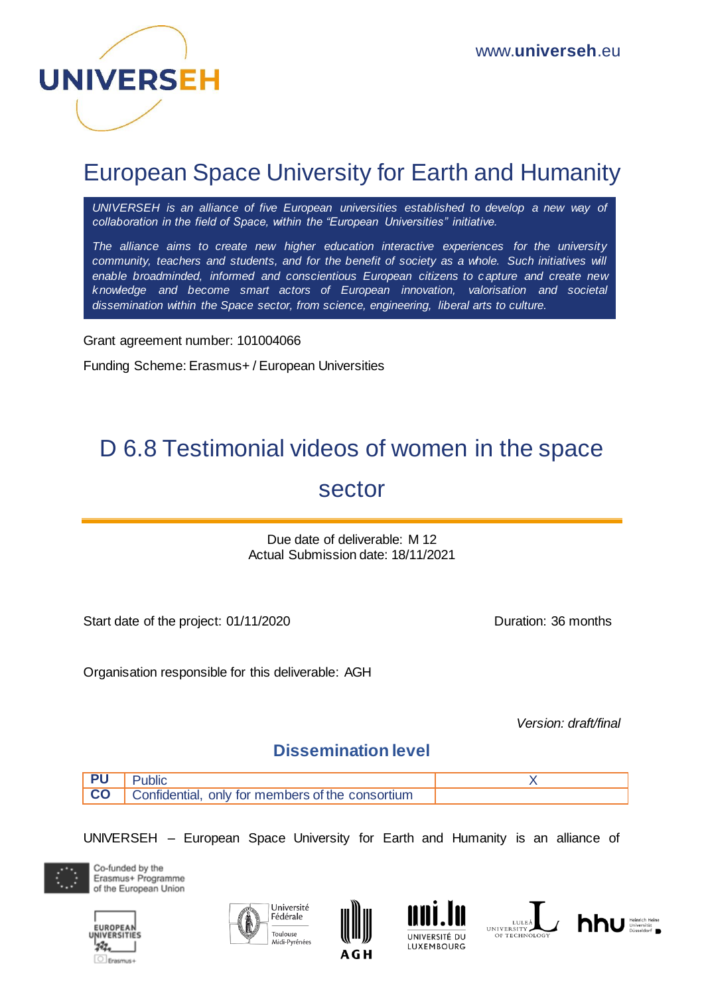

## European Space University for Earth and Humanity

*UNIVERSEH is an alliance of five European universities established to develop a new way of collaboration in the field of Space, within the "European Universities" initiative.*

*The alliance aims to create new higher education interactive experiences for the university community, teachers and students, and for the benefit of society as a whole. Such initiatives will enable broadminded, informed and conscientious European citizens to capture and create new knowledge and become smart actors of European innovation, valorisation and societal dissemination within the Space sector, from science, engineering, liberal arts to culture.*

Grant agreement number: 101004066

Funding Scheme: Erasmus+ / European Universities

# D 6.8 Testimonial videos of women in the space

### sector

Due date of deliverable: M 12 Actual Submission date: 18/11/2021

Start date of the project: 01/11/2020 Duration: 36 months

Organisation responsible for this deliverable: AGH

*Version: draft/final* 

### **Dissemination level**

| ublic                                            |  |
|--------------------------------------------------|--|
| Confidential, only for members of the consortium |  |

UNIVERSEH – European Space University for Earth and Humanity is an alliance of



Co-funded by the Erasmus+ Programme of the European Union











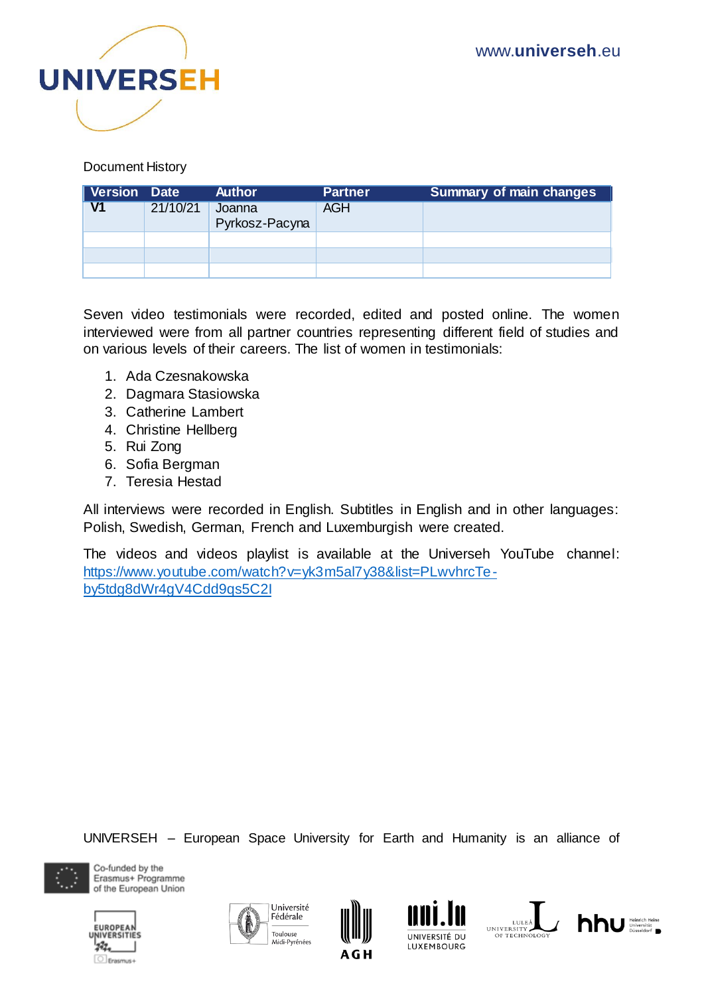

#### Document History

| Version Date |          | <b>Author</b>            | <b>Partner</b> | Summary of main changes |
|--------------|----------|--------------------------|----------------|-------------------------|
| V1           | 21/10/21 | Joanna<br>Pyrkosz-Pacyna | AGH            |                         |
|              |          |                          |                |                         |
|              |          |                          |                |                         |
|              |          |                          |                |                         |

Seven video testimonials were recorded, edited and posted online. The women interviewed were from all partner countries representing different field of studies and on various levels of their careers. The list of women in testimonials:

- 1. Ada Czesnakowska
- 2. Dagmara Stasiowska
- 3. Catherine Lambert
- 4. Christine Hellberg
- 5. Rui Zong
- 6. Sofia Bergman
- 7. Teresia Hestad

All interviews were recorded in English. Subtitles in English and in other languages: Polish, Swedish, German, French and Luxemburgish were created.

The videos and videos playlist is available at the Universeh YouTube channel: [https://www.youtube.com/watch?v=yk3m5al7y38&list=PLwvhrcTe](https://www.youtube.com/watch?v=yk3m5al7y38&list=PLwvhrcTe-by5tdg8dWr4gV4Cdd9qs5C2I)[by5tdg8dWr4gV4Cdd9qs5C2I](https://www.youtube.com/watch?v=yk3m5al7y38&list=PLwvhrcTe-by5tdg8dWr4gV4Cdd9qs5C2I)

UNIVERSEH – European Space University for Earth and Humanity is an alliance of



Co-funded by the Erasmus+ Programme of the European Union